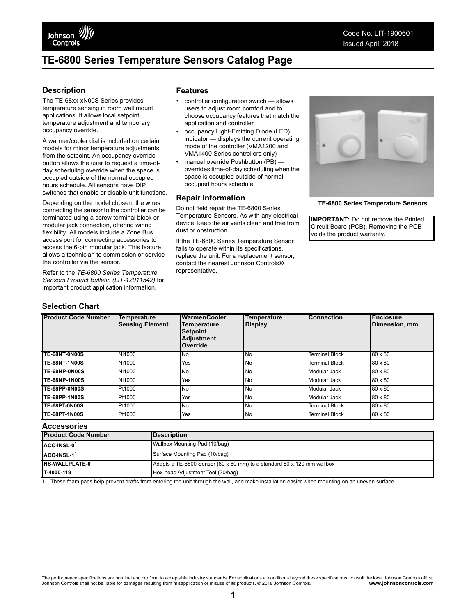# <span id="page-0-1"></span>**TE-6800 Series Temperature Sensors Catalog Page**

### **Description**

The TE-68xx-xN00S Series provides temperature sensing in room wall mount applications. It allows local setpoint temperature adjustment and temporary occupancy override.

A warmer/cooler dial is included on certain models for minor temperature adjustments from the setpoint. An occupancy override button allows the user to request a time-ofday scheduling override when the space is occupied outside of the normal occupied hours schedule. All sensors have DIP switches that enable or disable unit functions.

Depending on the model chosen, the wires connecting the sensor to the controller can be terminated using a screw terminal block or modular jack connection, offering wiring flexibility. All models include a Zone Bus access port for connecting accessories to access the 6-pin modular jack. This feature allows a technician to commission or service the controller via the sensor.

Refer to the *TE-6800 Series Temperature Sensors Product Bulletin (LIT-12011542)* for important product application information.

### **Selection Chart**

#### **Features**

- controller configuration switch allows users to adjust room comfort and to choose occupancy features that match the application and controller
- occupancy Light-Emitting Diode (LED) indicator — displays the current operating mode of the controller (VMA1200 and VMA1400 Series controllers only)
- manual override Pushbutton (PB) overrides time-of-day scheduling when the space is occupied outside of normal occupied hours schedule

#### **Repair Information**

Do not field repair the TE-6800 Series Temperature Sensors. As with any electrical device, keep the air vents clean and free from dust or obstruction.

If the TE-6800 Series Temperature Sensor fails to operate within its specifications, replace the unit. For a replacement sensor, contact the nearest Johnson Controls® representative.



**TE-6800 Series Temperature Sensors**

**IMPORTANT:** Do not remove the Printed Circuit Board (PCB). Removing the PCB voids the product warranty.

| <b>Product Code Number</b> | Temperature<br><b>Sensing Element</b> | <b>Warmer/Cooler</b><br>Temperature<br><b>Setpoint</b><br><b>Adjustment</b><br>Override | <b>Temperature</b><br><b>Display</b> | <b>Connection</b>     | Enclosure<br>Dimension, mm |
|----------------------------|---------------------------------------|-----------------------------------------------------------------------------------------|--------------------------------------|-----------------------|----------------------------|
| <b>TE-68NT-0N00S</b>       | Ni1000                                | <b>No</b>                                                                               | N <sub>0</sub>                       | <b>Terminal Block</b> | 80 x 80                    |
| <b>TE-68NT-1N00S</b>       | Ni1000                                | Yes                                                                                     | N <sub>0</sub>                       | <b>Terminal Block</b> | 80 x 80                    |
| TE-68NP-0N00S              | Ni1000                                | <b>No</b>                                                                               | <b>No</b>                            | Modular Jack          | 80 x 80                    |
| <b>TE-68NP-1N00S</b>       | Ni1000                                | Yes                                                                                     | <b>No</b>                            | Modular Jack          | 80 x 80                    |
| <b>TE-68PP-0N00S</b>       | Pt1000                                | <b>No</b>                                                                               | N <sub>0</sub>                       | Modular Jack          | 80 x 80                    |
| <b>TE-68PP-1N00S</b>       | Pt1000                                | Yes                                                                                     | <b>No</b>                            | Modular Jack          | 80 x 80                    |
| <b>TE-68PT-0N00S</b>       | Pt1000                                | <b>No</b>                                                                               | N <sub>0</sub>                       | <b>Terminal Block</b> | 80 x 80                    |
| <b>TE-68PT-1N00S</b>       | Pt1000                                | Yes                                                                                     | N <sub>0</sub>                       | <b>Terminal Block</b> | 80 x 80                    |

#### **Accessories**

| <b>Product Code Number</b>                      | <b>IDescription</b>                                                    |  |
|-------------------------------------------------|------------------------------------------------------------------------|--|
| ACC-INSL-0 <sup>1</sup>                         | Wallbox Mounting Pad (10/bag)                                          |  |
| $ACC$ -INSL-1 <sup>1</sup>                      | Surface Mounting Pad (10/bag)                                          |  |
| <b>INS-WALLPLATE-0</b>                          | Adapts a TE-6800 Sensor (80 x 80 mm) to a standard 80 x 120 mm wallbox |  |
| T-4000-119<br>Hex-head Adjustment Tool (30/bag) |                                                                        |  |

<span id="page-0-0"></span>1. These foam pads help prevent drafts from entering the unit through the wall, and make installation easier when mounting on an uneven surface.